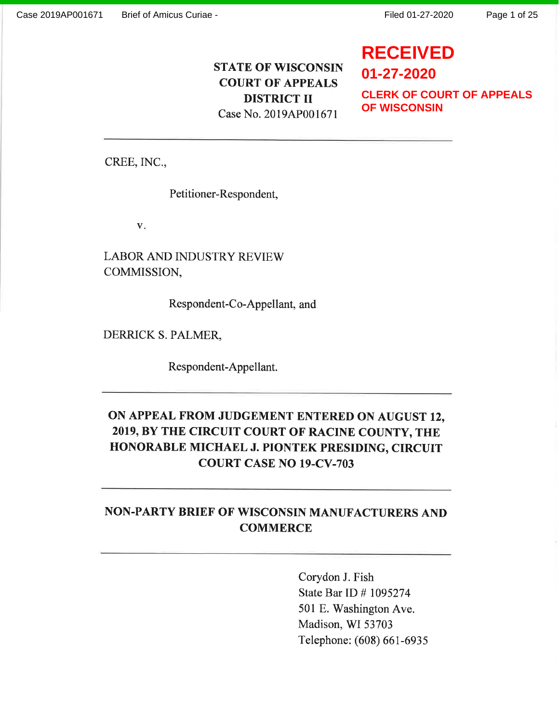**RECEIVED**

# STATE OF WISCONSIN COURT OF APPEALS DISTRICT II Case No. 2019AP001671

**01-27-2020 CLERK OF COURT OF APPEALS OF WISCONSIN**

CREE, INC.,

Petitioner-Respondent,

V

LABOR AND INDUSTRY REVIEW COMMISSION,

Respondent-Co-Appellant, and

DERRICK S. PALMER,

Respondent-Appellant.

# ON APPEAL FROM JUDGEMENT ENTERED ON AUGUST 12, 2019, By THE CIRCUIT COURT OF RACINE COUNTY, THE HONORABLE MICHAEL J. PIONTEK PRESIDING, CIRCUIT COURT CASE NO 19-CV-703

# NON.PARTY BRIEF' OF WISCONSIN MANUFACTURERS AND **COMMERCE**

Corydon J. Fish State Bar ID # 1095274 501 E. Washington Ave. Madison, WI 53703 Telephone: (608) 66t-6935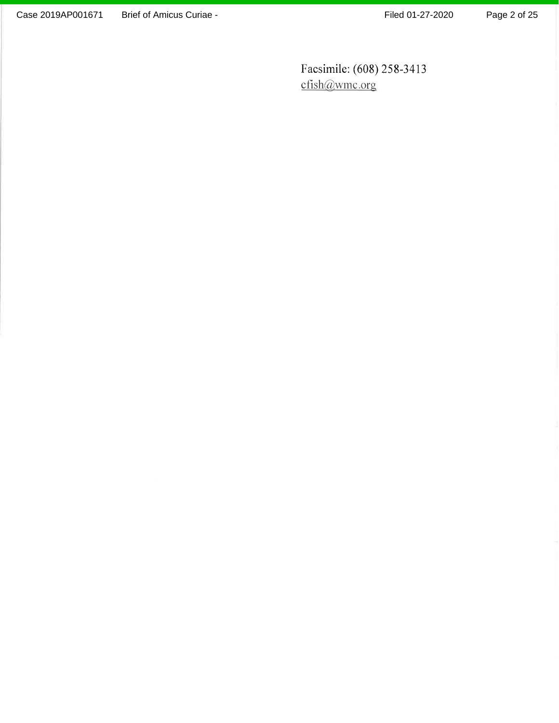Facsimile: (608) 258-3413 cfish@wmc.org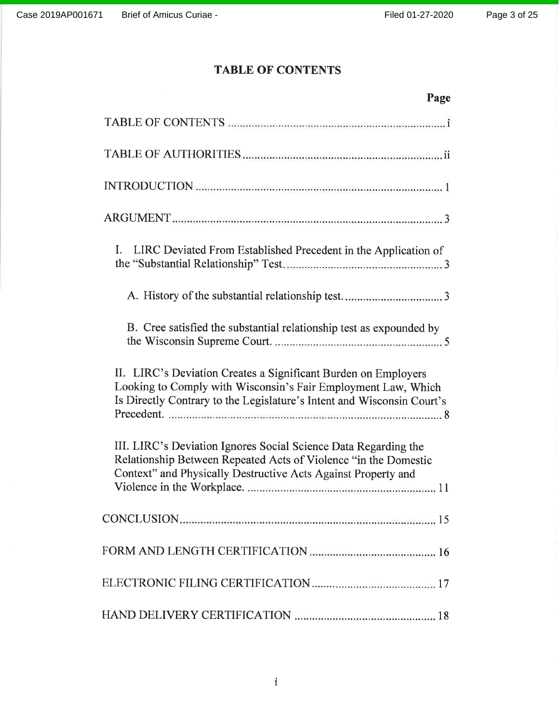# TABLE OF CONTENTS

| Page                                                                                                                                                                                                      |
|-----------------------------------------------------------------------------------------------------------------------------------------------------------------------------------------------------------|
|                                                                                                                                                                                                           |
|                                                                                                                                                                                                           |
|                                                                                                                                                                                                           |
|                                                                                                                                                                                                           |
| L.<br>LIRC Deviated From Established Precedent in the Application of                                                                                                                                      |
|                                                                                                                                                                                                           |
| B. Cree satisfied the substantial relationship test as expounded by                                                                                                                                       |
| II. LIRC's Deviation Creates a Significant Burden on Employers<br>Looking to Comply with Wisconsin's Fair Employment Law, Which<br>Is Directly Contrary to the Legislature's Intent and Wisconsin Court's |
| III. LIRC's Deviation Ignores Social Science Data Regarding the<br>Relationship Between Repeated Acts of Violence "in the Domestic<br>Context" and Physically Destructive Acts Against Property and       |
|                                                                                                                                                                                                           |
|                                                                                                                                                                                                           |
|                                                                                                                                                                                                           |
|                                                                                                                                                                                                           |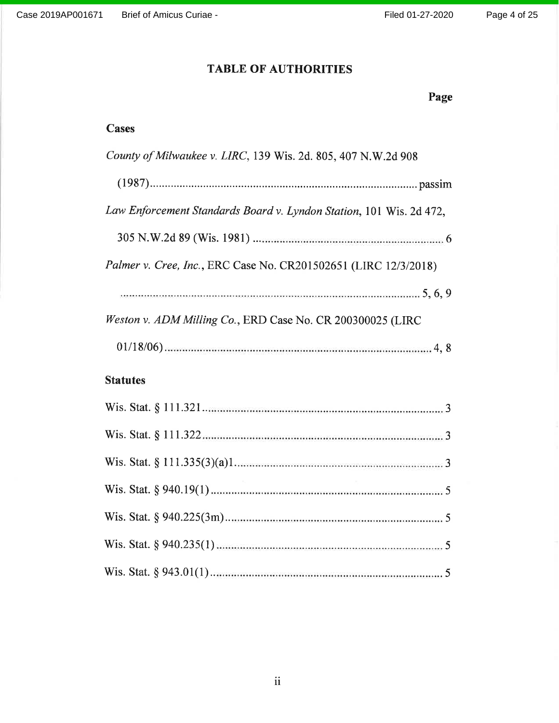Page

# TABLE OF AUTHORITIES

| <b>Cases</b>                                                        |
|---------------------------------------------------------------------|
| County of Milwaukee v. LIRC, 139 Wis. 2d. 805, 407 N.W.2d 908       |
|                                                                     |
| Law Enforcement Standards Board v. Lyndon Station, 101 Wis. 2d 472, |
|                                                                     |
| Palmer v. Cree, Inc., ERC Case No. CR201502651 (LIRC 12/3/2018)     |
|                                                                     |
| Weston v. ADM Milling Co., ERD Case No. CR 200300025 (LIRC          |
|                                                                     |
| <b>Statutes</b>                                                     |
|                                                                     |
|                                                                     |
|                                                                     |
|                                                                     |
|                                                                     |
|                                                                     |
|                                                                     |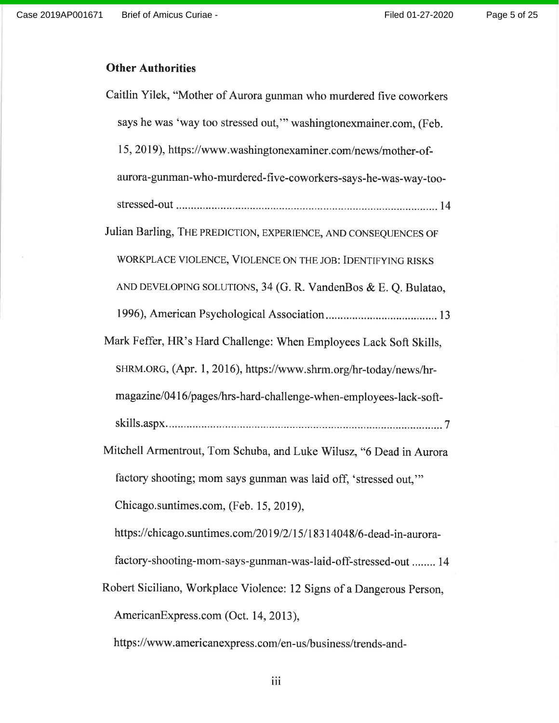# **Other Authorities**

| Caitlin Yilek, "Mother of Aurora gunman who murdered five coworkers   |
|-----------------------------------------------------------------------|
| says he was 'way too stressed out," washingtonexmainer.com, (Feb.     |
| 15, 2019), https://www.washingtonexaminer.com/news/mother-of-         |
| aurora-gunman-who-murdered-five-coworkers-says-he-was-way-too-        |
|                                                                       |
| Julian Barling, THE PREDICTION, EXPERIENCE, AND CONSEQUENCES OF       |
| WORKPLACE VIOLENCE, VIOLENCE ON THE JOB: IDENTIFYING RISKS            |
| AND DEVELOPING SOLUTIONS, 34 (G. R. VandenBos & E. Q. Bulatao,        |
|                                                                       |
| Mark Feffer, HR's Hard Challenge: When Employees Lack Soft Skills,    |
| SHRM.ORG, (Apr. 1, 2016), https://www.shrm.org/hr-today/news/hr-      |
|                                                                       |
| magazine/0416/pages/hrs-hard-challenge-when-employees-lack-soft-      |
|                                                                       |
| Mitchell Armentrout, Tom Schuba, and Luke Wilusz, "6 Dead in Aurora   |
| factory shooting; mom says gunman was laid off, 'stressed out,"       |
| Chicago.suntimes.com, (Feb. 15, 2019),                                |
| https://chicago.suntimes.com/2019/2/15/18314048/6-dead-in-aurora-     |
| factory-shooting-mom-says-gunman-was-laid-off-stressed-out  14        |
| Robert Siciliano, Workplace Violence: 12 Signs of a Dangerous Person, |
| AmericanExpress.com (Oct. 14, 2013),                                  |
| https://www.americanexpress.com/en-us/business/trends-and-            |

iii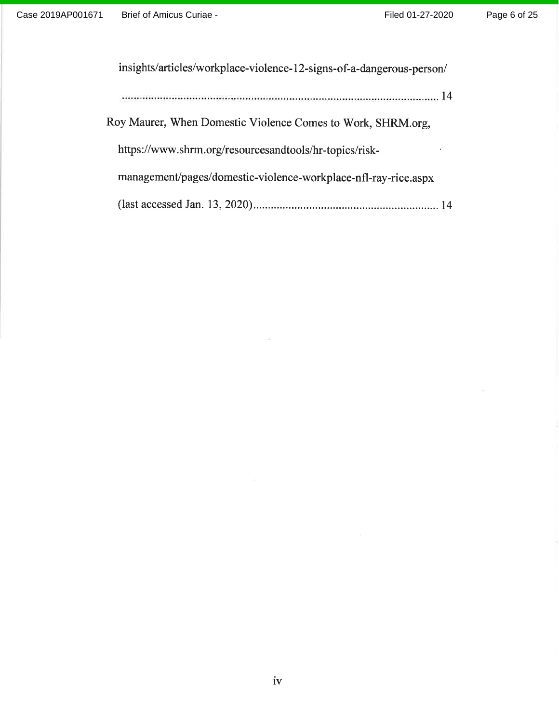$\mathbb{R}^2$ 

| insights/articles/workplace-violence-12-signs-of-a-dangerous-person/ |  |
|----------------------------------------------------------------------|--|
|                                                                      |  |
| Roy Maurer, When Domestic Violence Comes to Work, SHRM.org,          |  |
| https://www.shrm.org/resourcesandtools/hr-topics/risk-               |  |
| management/pages/domestic-violence-workplace-nfl-ray-rice.aspx       |  |
|                                                                      |  |

 $\widetilde{\Gamma\#}$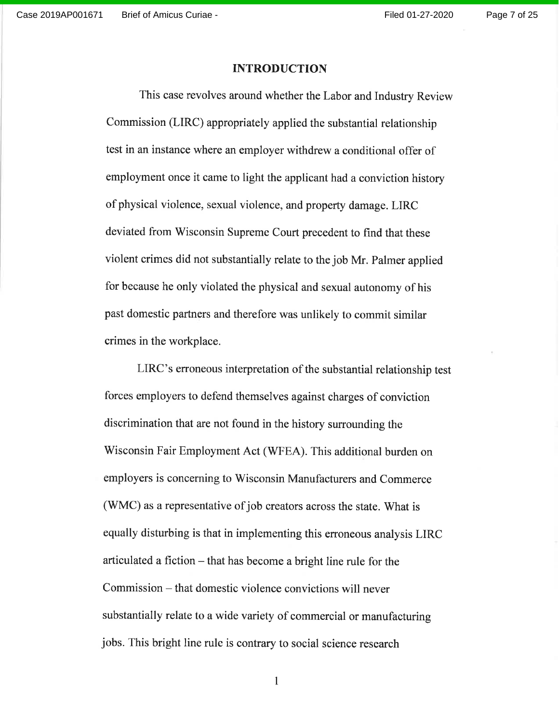#### INTRODUCTION

This case revolves around whether the Labor and Industry Review commission (LIRC) appropriately applied the substantial relationship test in an instance where an employer withdrew a conditional offer of employment once it came to light the applicant had a conviction history of physical violence, sexual violence, and property damage. LIRC deviated from wisconsin Supreme Court precedent to find that these violent crimes did not substantially relate to the job Mr. Palmer applied for because he only violated the physical and sexual autonomy of his past domestic partners and therefore was unlikely to commit similar crimes in the workplace.

LIRC's erroneous interpretation of the substantial relationship test forces employers to defend themselves against charges of conviction discrimination that are not found in the history surrounding the Wisconsin Fair Employment Act (WFEA). This additional burden on employers is concerning to Wisconsin Manufacturers and Commerce (WMC) as a representative of job creators across the state. What is equally disturbing is that in implementing this erroneous analysis LIRC articulated a fiction - that has become a bright line rule for the Commission - that domestic violence convictions will never substantially relate to a wide variety of commercial or manufacturing jobs. This bright line rule is contrary to social science research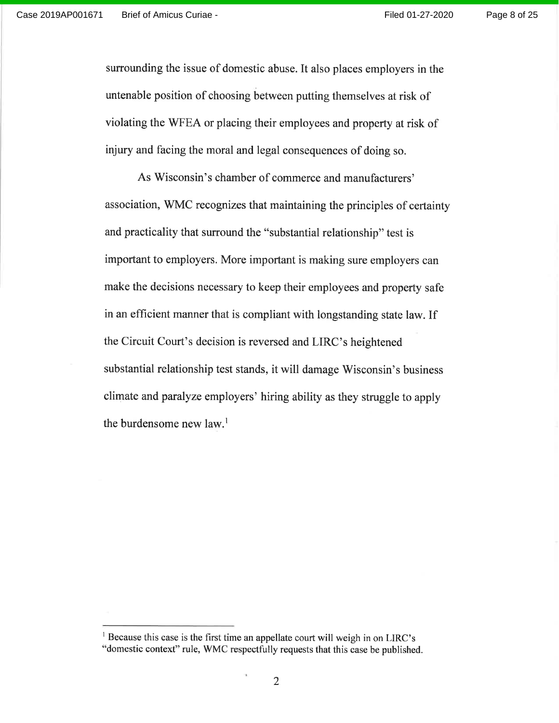Page 8 of 25

surrounding the issue of domestic abuse. It also places employers in the untenable position of choosing between putting themselves at risk of violating the WFEA or placing their employees and property at risk of injury and facing the moral and legal consequences of doing so.

As Wisconsin's chamber of commerce and manufacturers' association, WMC recognizes that maintaining the principles of certainty and practicality that surround the "substantial relationship" test is important to employers. More important is making sure employers can make the decisions necessary to keep their employees and property safe in an efhcient manner that is compliant with longstanding state law. If the Circuit Court's decision is reversed and LIRC's heightened substantial relationship test stands, it will damage Wisconsin's business climate and paralyze employers' hiring ability as they struggle to apply the burdensome new law.<sup>1</sup>

 $<sup>1</sup>$  Because this case is the first time an appellate court will weigh in on LIRC's</sup> "domestic context" rule, WMC respectfully requests that this case be published.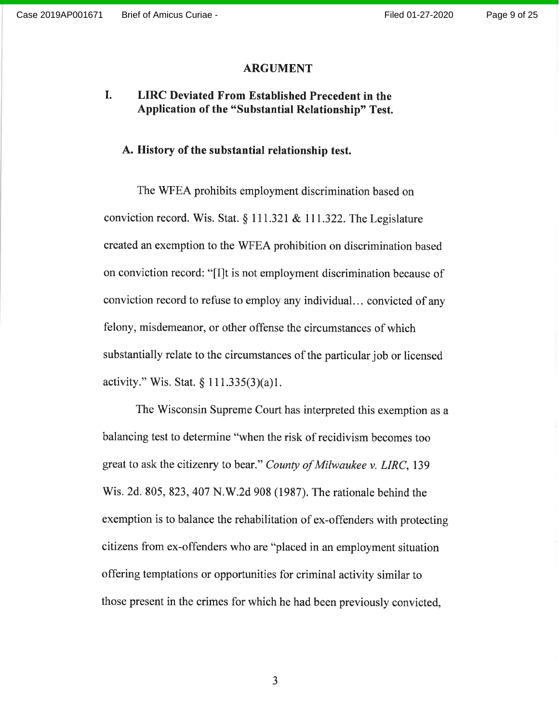#### ARGUMENT

#### I. LIRC Deviated From Established Precedent in the Application of the "Substantial Relationship" Test.

### A. History of the substantial relationship test.

The WFEA prohibits employment discrimination based on conviction record. Wis. Stat.  $\S 111.321 \& 111.322$ . The Legislature created an exemption to the WFEA prohibition on discrimination based on conviction record: "[I]t is not employment discrimination because of conviction record to refuse to employ any individual.. . convicted of any felony, misdemeanor, or other offense the circumstances of which substantially relate to the circumstances of the particular job or licensed activity." Wis. Stat.  $\S 111.335(3)(a)1$ .

The Wisconsin Supreme Court has interpreted this exemption as a balancing test to determine "when the risk of recidivism becomes too great to ask the citizenry to bear." County of Milwaukee v. LIRC, 139 Wis. 2d. 805, 823, 407 N.W.2d 908 (19S7). The rationale behind the exemption is to balance the rehabilitation of ex-offenders with protecting citizens from ex-offenders who are "placed in an employment situation offering temptations or opportunities for criminal activity similar to those present in the crimes for which he had been previously convicted,

a J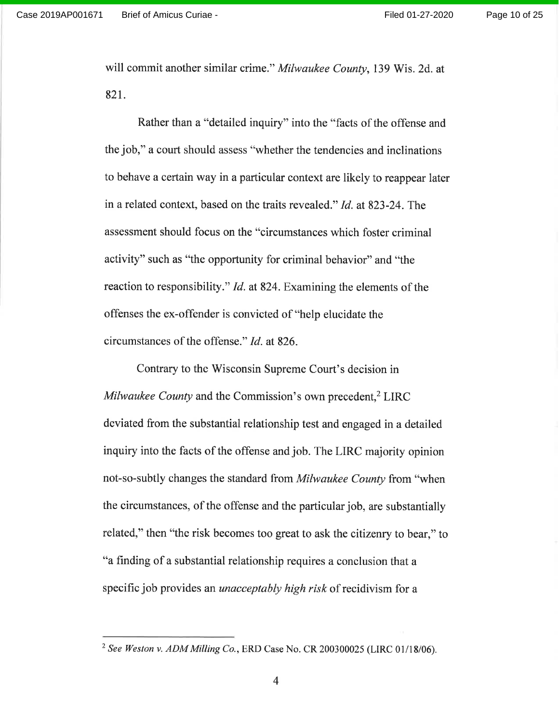will commit another similar crime." Milwaukee County, 139 Wis. 2d. at 82t.

Rather than a "detailed inquiry" into the "facts of the offense and the job," a court should assess "whether the tendencies and inclinations to behave a certain way in a particular context are likely to reappear later in a related context, based on the traits revealed." *Id.* at 823-24. The assessment should focus on the "circumstances which foster criminal activity" such as "the opportunity for criminal behavior" and "the reaction to responsibility." *Id.* at 824. Examining the elements of the offenses the ex-offender is convicted of "help elucidate the circumstances of the offense." Id. at 826.

Contrary to the Wisconsin Supreme Court's decision in Milwaukee County and the Commission's own precedent, $<sup>2</sup> LIRC$ </sup> deviated from the substantial relationship test and engaged in a detailed inquiry into the facts of the offense and job. The LIRC majority opinion not-so-subtly changes the standard from Milwaukee County from "when the circumstances, of the offense and the particular job, are substantially related," then "the risk becomes too great to ask the citizenry to bear," to "a finding of a substantial relationship requires a conclusion that a specific job provides an *unacceptably high risk* of recidivism for a

<sup>&</sup>lt;sup>2</sup> See Weston v. ADM Milling Co., ERD Case No. CR 200300025 (LIRC 01/18/06).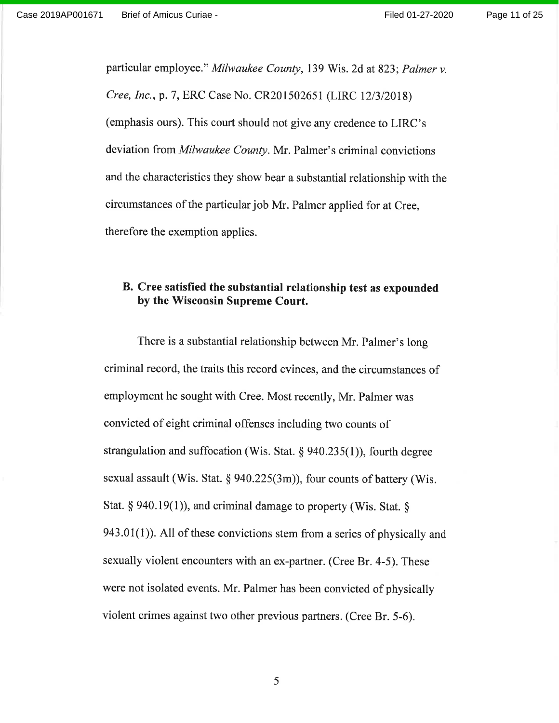particular employee." Milwaukee County, 139 Wis. 2d at 823; Palmer v. Cree, Inc., p. 7, ERC Case No. CR201502651 (LIRC 12/3/2018) (emphasis ours). This court should not give any credence to LIRC's deviation from Milwaukee County. Mr. Palmer's criminal convictions and the characteristics they show bear a substantial relationship with the circumstances of the particular job Mr. Palmer applied for at Cree, therefore the exemption applies.

### B. Cree satisfied the substantial relationship test as expounded by the Wisconsin Supreme Court.

There is a substantial relationship between Mr. Palmer's long criminal record, the traits this record evinces, and the circumstances of employment he sought with Cree. Most recently, Mr. Palmer was convicted of eight criminal offenses including two counts of strangulation and suffocation (Wis. Stat.  $\S$  940.235(1)), fourth degree sexual assault (Wis. Stat. § 940.225(3m)), four counts of battery (Wis. Stat. § 940.19(1)), and criminal damage to property (Wis. Stat. § 943.01(1). All of these convictions stem from a series of physically and sexually violent encounters with an ex-partner. (Cree Br. 4-5). These were not isolated events. Mr. Palmer has been convicted of physically violent crimes against two other previous partners. (Cree Br. 5-6).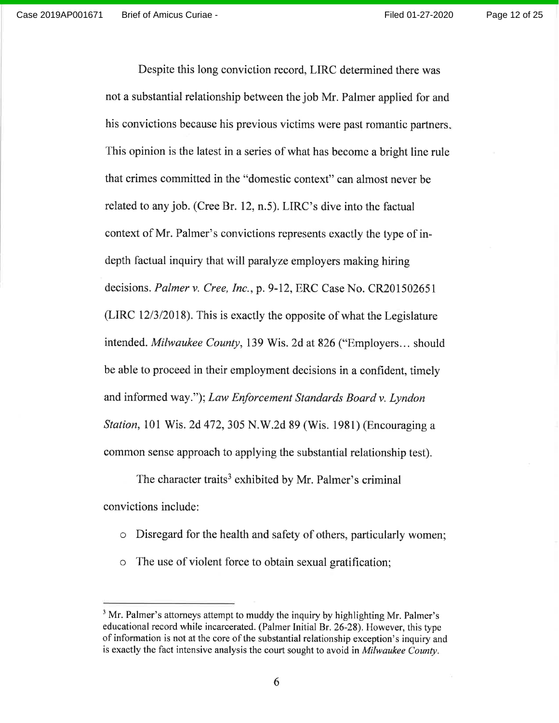Page 12 of 25

Despite this long conviction record, LIRC determined there was not a substantial relationship between the job Mr. Palmer applied for and his convictions because his previous victims were past romantic partners, This opinion is the latest in a series of what has become a bright line rule that crimes committed in the "domestic context" can almost never be related to any job. (Cree Br.12, n.5). LIRC's dive into the factual context of Mr. Palmer's convictions represents exactly the type of indepth factual inquiry that will paralyze employers making hiring decisions. Palmer v. Cree, Inc., p. 9-12, ERC Case No. CR201502651 (LIRC 12/3/2018). This is exactly the opposite of what the Legislature intended. Milwaukee County, 139 Wis. 2d at 826 ("Employers... should be able to proceed in their employment decisions in a confident, timely and informed way."); Law Enforcement Standards Board v. Lyndon Station, 101 Wis. 2d 472, 305 N.W.2d 89 (Wis. 1981) (Encouraging a common sense approach to applying the substantial relationship test).

The character traits<sup>3</sup> exhibited by Mr. Palmer's criminal convictions include:

- o Disregard for the health and safety of others, particularly women;
- o The use of violent force to obtain sexual gratification;

<sup>&</sup>lt;sup>3</sup> Mr. Palmer's attorneys attempt to muddy the inquiry by highlighting Mr. Palmer's educational record while incarcerated. (Palmer Initial 8r.26-28). However, this type of information is not at the core of the substantial relationship exception's inquiry and is exactly the fact intensive analysis the court sought to avoid in Milwaukee County.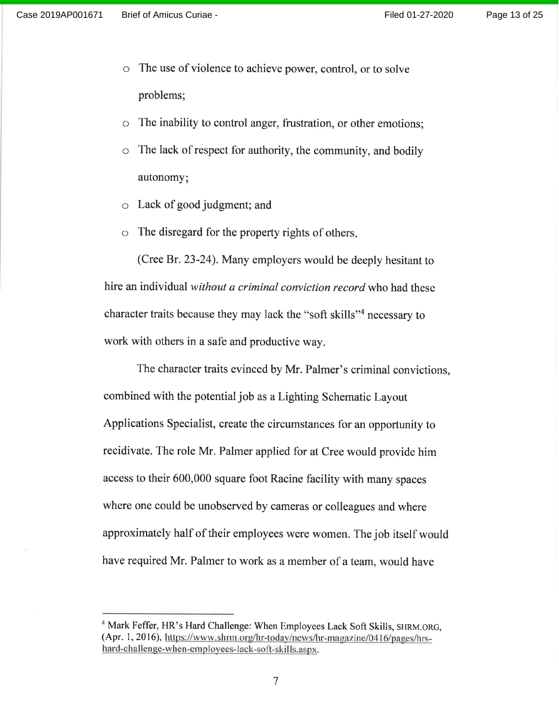- The use of violence to achieve power, control, or to solve  $\circ$ problems;
- o The inability to control anger, frustration, or other emotions;
- $\circ$  The lack of respect for authority, the community, and bodily autonomy
- o Lack of good judgment; and
- $\circ$  The disregard for the property rights of others.

(Cree 8r.23-24). Many employers would be deeply hesitant to hire an individual without a criminal conviction record who had these character traits because they may lack the "soft skills"<sup>4</sup> necessary to work with others in a safe and productive way.

The character traits evinced by Mr. Palmer's criminal convictions, combined with the potential job as a Lighting Schematic Layout Applications Specialist, create the circumstances for an opportunity to recidivate. The role Mr. Palmer applied for at Cree would provide him access to their 600,000 square foot Racine facility with many spaces where one could be unobserved by cameras or colleagues and where approximately half of their employees were women. The job itself would have required Mr. Palmer to work as a member of a team, would have

<sup>&</sup>lt;sup>4</sup> Mark Feffer, HR's Hard Challenge: When Employees Lack Soft Skills, SHRM.ORG, (Apr. 1, 2016), https://www.shrm.org/hr-today/news/hr-magazine/0416/pages/hrshard-challenge-when-employees-lack-soft-skills.aspx.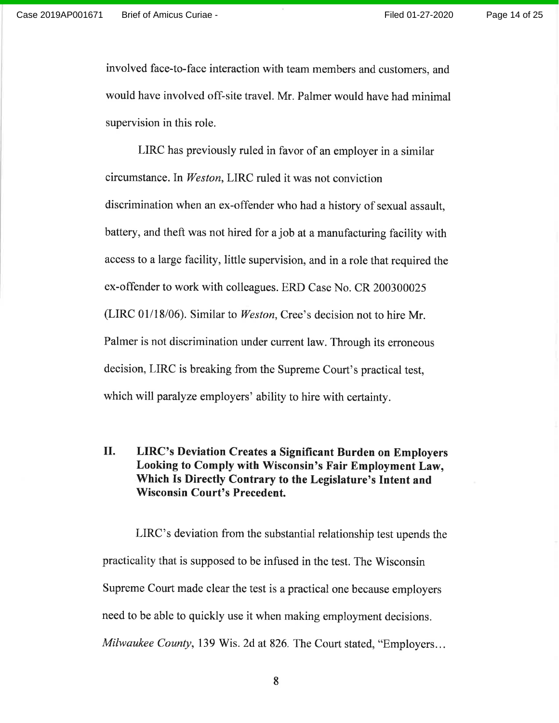involved face-to-face interaction with team members and customers, and would have involved off-site travel. Mr. Palmer would have had minimal supervision in this role.

LIRC has previously ruled in favor of an employer in a similar circumstance. In Weston, LIRC ruled it was not conviction discrimination when an ex-offender who had a history of sexual assault, battery, and theft was not hired for a job at a manufacturing facility with access to a large facility, little supervision, and in a role that required the ex-offender to work with colleagues. ERD Case No. CR 200300025 (LIRC 01/18/06). Similar to Weston, Cree's decision not to hire Mr. Palmer is not discrimination under current law. Through its erroneous decision, LIRC is breaking from the Supreme Court's practical test, which will paralyze employers' ability to hire with certainty.

#### LIRC's Deviation Creates a Significant Burden on Employers Looking to Comply with Wisconsin's Fair Employment Law, Which Is Directly Contrary to the Legislature's Intent and Wisconsin Court's Precedent. il.

LIRC's deviation from the substantial relationship test upends the practicality that is supposed to be infused in the test. The Wisconsin Supreme Court made clear the test is a practical one because employers need to be able to quickly use it when making employment decisions. Milwaukee County, 139 Wis. 2d at 826. The Court stated, "Employers...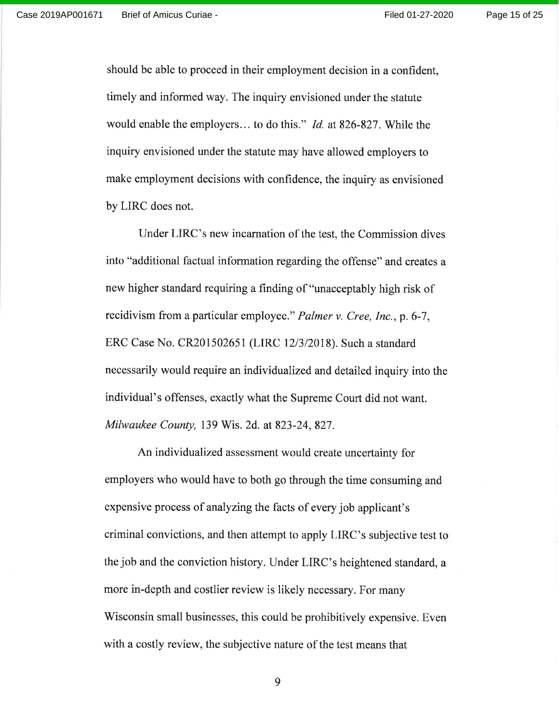Page 15 of 25

should be able to proceed in their employment decision in a confident, timely and informed way. The inquiry envisioned under the statute would enable the employers... to do this." Id. at 826-827 . While the inquiry envisioned under the statute may have allowed employers to make employment decisions with confidence, the inquiry as envisioned by LIRC does not.

Under LIRC's new incarnation of the test, the Commission dives into "additional factual information regarding the offense" and creates a new higher standard requiring a finding of "unacceptably high risk of recidivism from a particular employee." *Palmer v. Cree, Inc.*, p. 6-7, ERC Case No. CR201502651 (LIRC 12/3/2018). Such a standard necessarily would require an individualized and detailed inquiry into the individual's offenses, exactly what the Supreme Court did not want. Milwaukee County, 139 Wis. 2d. at 823-24, 827.

An individualized assessment would create uncertainty for employers who would have to both go through the time consuming and expensive process of analyzing the facts of every job applicant's criminal convictions, and then attempt to apply LIRC's subjective test to the job and the conviction history. Under LIRC's heightened standard, <sup>a</sup> more in-depth and costlier review is likely necessary. For many Wisconsin small businesses, this could be prohibitively expensive. Even with a costly review, the subjective nature of the test means that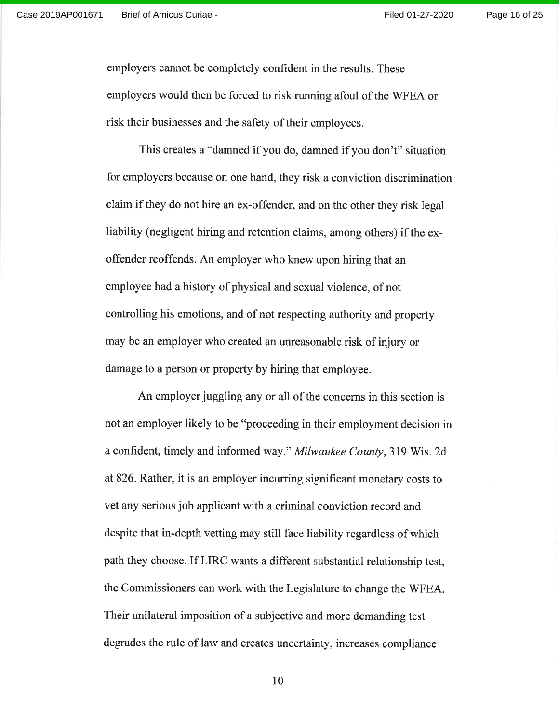Page 16 of 25

employers cannot be completely confident in the results. These employers would then be forced to risk running afoul of the WFEA or risk their businesses and the safety of their employees.

This creates a "damned if you do, damned if you don't" situation for employers because on one hand, they risk a conviction discrimination claim if they do not hire an ex-offender, and on the other they risk legal liability (negligent hiring and retention claims, among others) if the exoffender reoffends. An employer who knew upon hiring that an employee had a history of physical and sexual violence, of not controlling his emotions, and of not respecting authority and property may be an employer who created an unreasonable risk of injury or damage to a person or property by hiring that employee.

An employer juggling any or all of the concerns in this section is not an employer likely to be "proceeding in their employment decision in a confident, timely and informed way." Milwaukee County, 319 Wis. 2d at826. Rather, it is an employer incurring significant monetary costs to vet any serious job applicant with a criminal conviction record and despite that in-depth vetting may still face liability regardless of which path they choose. If LIRC wants a different substantial relationship test, the Commissioners can work with the Legislature to change the WFEA. Their unilateral imposition of a subjective and more demanding test degrades the rule of law and creates uncertainty, increases compliance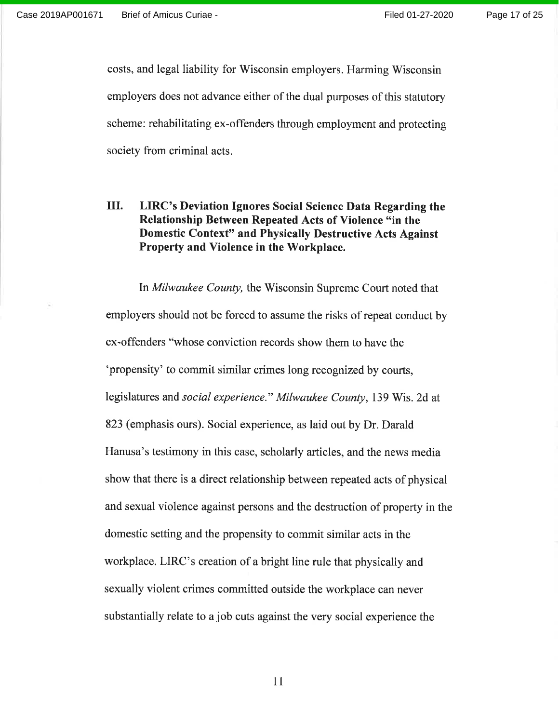costs, and legal liability for Wisconsin employers. Harming Wisconsin employers does not advance either of the dual purposes of this statutory scheme: rehabilitating ex-offenders through employment and protecting society from criminal acts.

### III. LIRC's Deviation Ignores Social Science Data Regarding the Relationship Between Repeated Acts of Violence "in the Domestic Context" and Physically Destructive Acts Against Property and Violence in the Workplace.

In Milwaukee County, the Wisconsin Supreme Court noted that employers should not be forced to assume the risks of repeat conduct by ex-offenders "whose conviction records show them to have the 'propensity' to commit similar crimes long recognized by courts, legislatures and social experience." Milwaukee County, 139 Wis. 2d at 823 (emphasis ours). Social experience, as laid out by Dr. Darald Hanusa's testimony in this case, scholarly articles, and the news media show that there is a direct relationship between repeated acts of physical and sexual violence against persons and the destruction of property in the domestic setting and the propensity to commit similar acts in the workplace. LIRC's creation of a bright line rule that physically and sexually violent crimes committed outside the workplace can never substantially relate to a job cuts against the very social experience the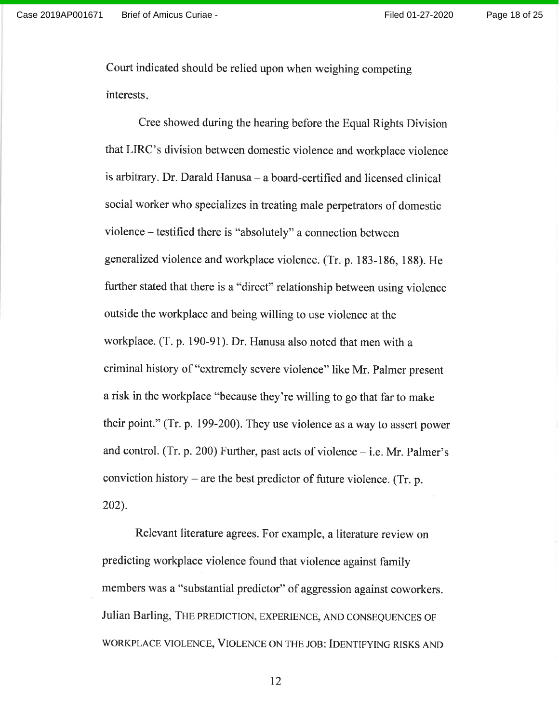Page 18 of 25

Court indicated should be relied upon when weighing competing interests

Cree showed during the hearing before the Equal Rights Division that LIRC's division between domestic violence and workplace violence is arbitrary. Dr. Darald Hanusa - a board-certified and licensed clinical social worker who specializes in treating male perpetrators of domestic violence - testified there is "absolutely" a connection between generalized violence and workplace violence. (Tr. p. 183-186, 188). He further stated that there is a "direct" relationship between using violence outside the workplace and being willing to use violence at the workplace. (T.p. 190-91). Dr. Hanusa also noted that men with <sup>a</sup> criminal history of "extremely severe violence" like Mr. Palmer present a risk in the workplace "because they're willing to go that far to make their point." (Tr. p. 199-200). They use violence as a way to assert power and control. (Tr. p. 200) Further, past acts of violence  $-$  i.e. Mr. Palmer's conviction history - are the best predictor of future violence. (Tr. p. 202).

Relevant literature agrees. For example, a literature review on predicting workplace violence found that violence against family members was a "substantial predictor" of aggression against coworkers. Julian Barling, THE PREDICTION, EXPERIENCE, AND CONSEQUENCES OF WORKPLACE VIOLENCE, VIOLENCE ON THE JOB: IDENTIFYING RISKS AND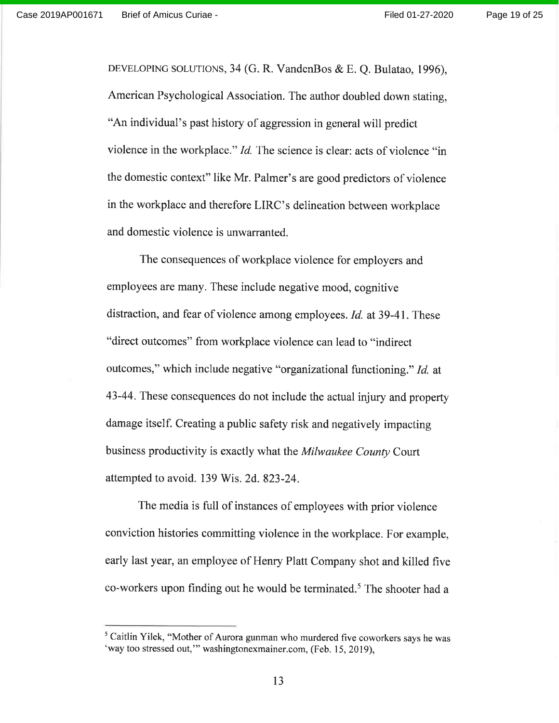DEVELOPING SOLUTIONS, 34 (G. R. VandenBos & E. Q. Bulatao, 1996), American Psychological Association. The author doubled down stating, "An individual's past history of aggression in general will predict violence in the workplace." *Id*. The science is clear: acts of violence "in the domestic context" like Mr. Palmer's are good predictors of violence in the workplace and therefore LIRC's delineation between workplace and domestic violence is unwarranted.

The consequences of workplace violence for employers and employees are many. These include negative mood, cognitive distraction, and fear of violence among employees. Id. at 39-41. These "direct outcomes" from workplace violence can lead to "indirect outcomes," which include negative "organizational functioning." Id. at 43-44. These consequences do not include the actual injury and property damage itself. Creating a public safety risk and negatively impacting business productivity is exactly what the *Milwaukee County* Court attempted to avoid. 139 Wis. 2d.823-24.

The media is full of instances of employees with prior violence conviction histories committing violence in the workplace. For example, early last year, an employee of Henry Platt Company shot and killed five co-workers upon finding out he would be terminated.<sup>5</sup> The shooter had a

<sup>&</sup>lt;sup>5</sup> Caitlin Yilek, "Mother of Aurora gunman who murdered five coworkers says he was 'way too stressed out," washingtonexmainer.com, (Feb. 15, 2019),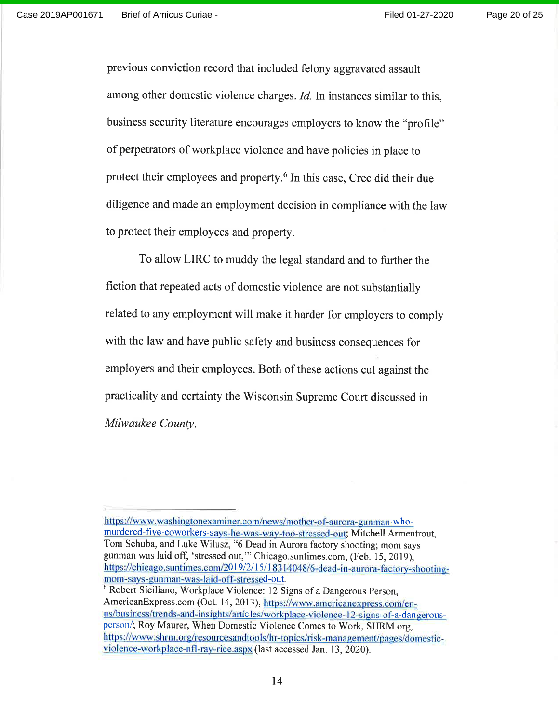Page 20 of 25

previous conviction record that included felony aggravated assault among other domestic violence charges. *Id.* In instances similar to this, business security literature encourages employers to know the "profile" of perpetrators of workplace violence and have policies in place to protect their employees and property.<sup>6</sup> In this case, Cree did their due diligence and made an employment decision in compliance with the law to protect their employees and property.

To allow LIRC to muddy the legal standard and to further the fiction that repeated acts of domestic violence are not substantially related to any employment will make it harder for employers to comply with the law and have public safety and business consequences for employers and their employees. Both of these actions cut against the practicality and certainty the wisconsin Supreme court discussed in Milwaukee County.

https://www.washingtonexaminer.com/news/mother-of-aurora-gunman-whomurdered-five-coworkers-says-he-was-way-too-stressed-out; Mitchell Armentrout, Tom Schuba, and Luke Wilusz, "6 Dead in Aurora factory shooting; mom says gunman was laid off, 'stressed out,"'Chicago.suntimes.com, (Feb. 15,2019), https://chicago.suntimes.com/2019/2/15/18314048/6-dead-in-aurora-factory-shootingmom-says-gunman-was-laid-off-stressed-out.

<sup>&</sup>lt;sup>6</sup> Robert Siciliano, Workplace Violence: 12 Signs of a Dangerous Person, AmericanExpress.com (Oct. 14, 2013), https://www.americanexpress.com/enus/business/trends-and-insights/articles/workplace-violence-12-signs-of-a-dangerousperson/; Roy Maurer, When Domestic Violence Comes to Work, SHRM.org, https://www.shrm.org/resourcesandtools/hr-topics/risk-management/pages/domesticviolence-workplace-nfl-ray-rice. aspx (last accessed Jan. 13, 2020).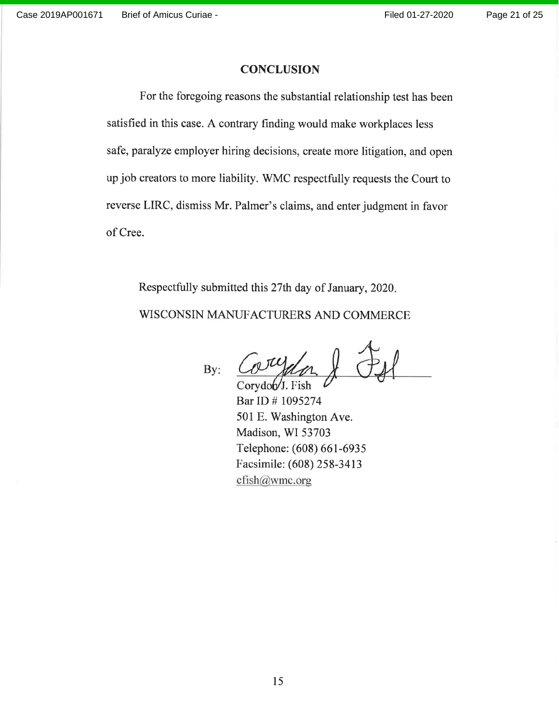#### **CONCLUSION**

For the foregoing reasons the substantial relationship test has been satisfied in this case. A contrary finding would make workplaces less safe, paralyze employer hiring decisions, create more litigation, and open up job creators to more liability. WMC respectfully requests the Court to reverse LIRC, dismiss Mr. Palmer's claims, and enter judgment in favor of Cree.

Respectfully submitted this 27th day of January,2020

WISCONSIN MANUFACTURERS AND COMMERCE

By:

Corydob<sup>/</sup>J. Fish

Bar ID # 1095274 501 E. Washington Ave. Madison, WI 53703 Telephone: (608) 661-6935 Facsimile: (608) 258-3413 cfish@wmc.org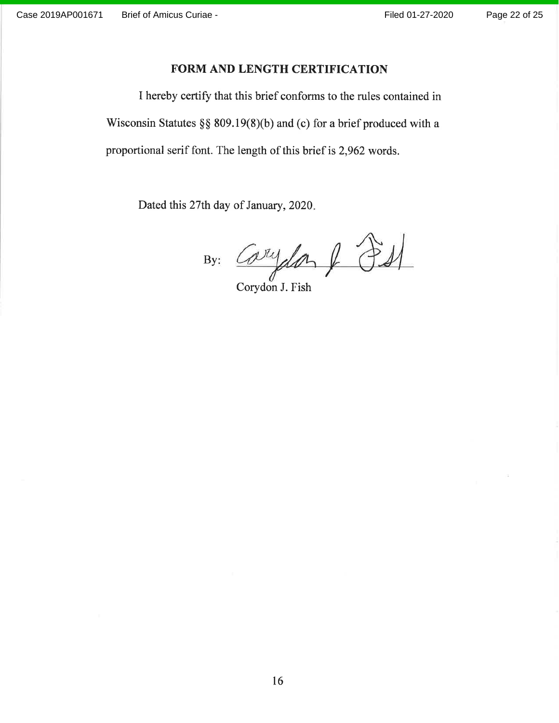### FORM AND LENGTH CERTIFICATION

I hereby certify that this brief conforms to the rules contained in Wisconsin Statutes  $\S\S 809.19(8)(b)$  and (c) for a brief produced with a proportional serif font. The length of this brief is 2,962 words.

Dated this 27th day of January, 2020.

By: Carydon & PS

Corydon J. Fish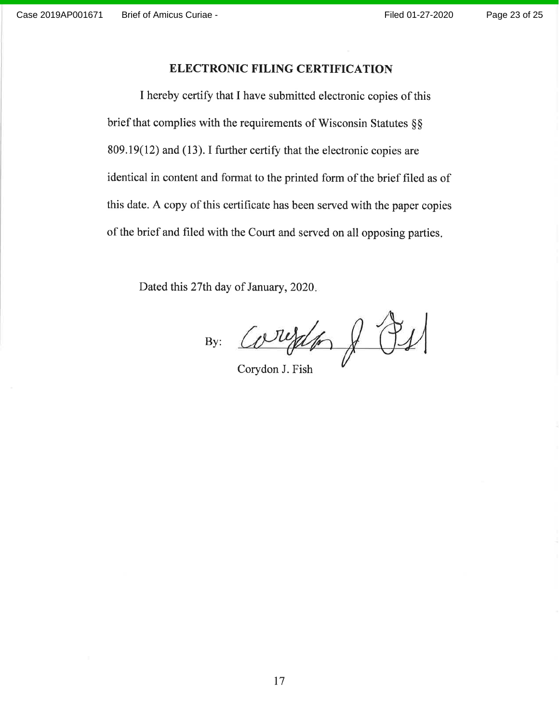### ELECTRONIC FILING CERTIFICATION

I hereby certify that I have submitted electronic copies of this brief that complies with the requirements of Wisconsin Statutes §§  $809.19(12)$  and (13). I further certify that the electronic copies are identical in content and format to the printed form of the brief filed as of this date. A copy of this certificate has been served with the paper copies of the brief and filed with the Court and served on all opposing parties

Dated this 27th day of January, 2020.

By:  $CovYd$   $\rightarrow$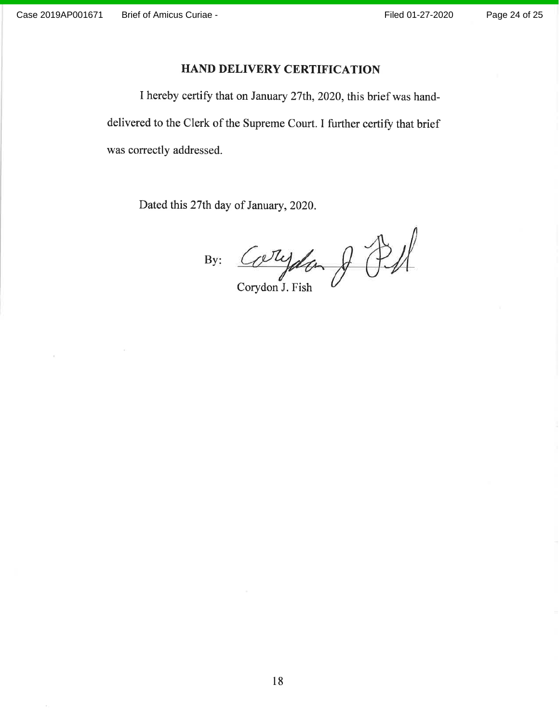### HAND DELIVERY CERTIFICATION

I hereby certify that on January 27th,2020, this brief was handdelivered to the Clerk of the Supreme Court. I further certify that brief was correctly addressed.

Dated this 27th day of January, 2020.

By: Corydan & Pf